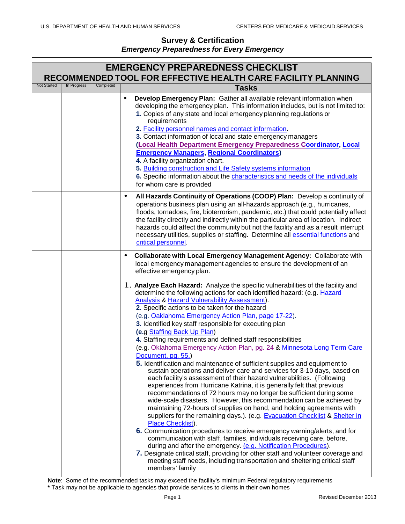| <b>EMERGENCY PREPAREDNESS CHECKLIST</b><br>RECOMMENDED TOOL FOR EFFECTIVE HEALTH CARE FACILITY PLANNING |             |           |                                                                                                                                                                                                                                                                                                                                                                                                                                                                                                                                                                                                                                                                                                                                                                                                                                                                                                                                                                                                                                                                                                                                                                                                                                                                                                                                                                                                                                                                                                                                                                                                                                                      |  |
|---------------------------------------------------------------------------------------------------------|-------------|-----------|------------------------------------------------------------------------------------------------------------------------------------------------------------------------------------------------------------------------------------------------------------------------------------------------------------------------------------------------------------------------------------------------------------------------------------------------------------------------------------------------------------------------------------------------------------------------------------------------------------------------------------------------------------------------------------------------------------------------------------------------------------------------------------------------------------------------------------------------------------------------------------------------------------------------------------------------------------------------------------------------------------------------------------------------------------------------------------------------------------------------------------------------------------------------------------------------------------------------------------------------------------------------------------------------------------------------------------------------------------------------------------------------------------------------------------------------------------------------------------------------------------------------------------------------------------------------------------------------------------------------------------------------------|--|
| <b>Not Started</b>                                                                                      | In Progress | Completed | <b>Tasks</b>                                                                                                                                                                                                                                                                                                                                                                                                                                                                                                                                                                                                                                                                                                                                                                                                                                                                                                                                                                                                                                                                                                                                                                                                                                                                                                                                                                                                                                                                                                                                                                                                                                         |  |
|                                                                                                         |             |           | $\bullet$<br>Develop Emergency Plan: Gather all available relevant information when<br>developing the emergency plan. This information includes, but is not limited to:<br>1. Copies of any state and local emergency planning regulations or<br>requirements<br>2. Facility personnel names and contact information.<br>3. Contact information of local and state emergency managers<br>(Local Health Department Emergency Preparedness Coordinator, Local<br><b>Emergency Managers, Regional Coordinators)</b><br>4. A facility organization chart.<br>5. Building construction and Life Safety systems information<br>6. Specific information about the characteristics and needs of the individuals<br>for whom care is provided                                                                                                                                                                                                                                                                                                                                                                                                                                                                                                                                                                                                                                                                                                                                                                                                                                                                                                                 |  |
|                                                                                                         |             |           | All Hazards Continuity of Operations (COOP) Plan: Develop a continuity of<br>$\bullet$<br>operations business plan using an all-hazards approach (e.g., hurricanes,<br>floods, tornadoes, fire, bioterrorism, pandemic, etc.) that could potentially affect<br>the facility directly and indirectly within the particular area of location. Indirect<br>hazards could affect the community but not the facility and as a result interrupt<br>necessary utilities, supplies or staffing. Determine all essential functions and<br>critical personnel.                                                                                                                                                                                                                                                                                                                                                                                                                                                                                                                                                                                                                                                                                                                                                                                                                                                                                                                                                                                                                                                                                                 |  |
|                                                                                                         |             |           | Collaborate with Local Emergency Management Agency: Collaborate with<br>$\bullet$<br>local emergency management agencies to ensure the development of an<br>effective emergency plan.                                                                                                                                                                                                                                                                                                                                                                                                                                                                                                                                                                                                                                                                                                                                                                                                                                                                                                                                                                                                                                                                                                                                                                                                                                                                                                                                                                                                                                                                |  |
|                                                                                                         |             |           | 1. Analyze Each Hazard: Analyze the specific vulnerabilities of the facility and<br>determine the following actions for each identified hazard: (e.g. Hazard<br><b>Analysis &amp; Hazard Vulnerability Assessment).</b><br>2. Specific actions to be taken for the hazard<br>(e.g. Oaklahoma Emergency Action Plan, page 17-22).<br>3. Identified key staff responsible for executing plan<br>(e.g Staffing Back Up Plan)<br>4. Staffing requirements and defined staff responsibilities<br>(e.g. Oklahoma Emergency Action Plan, pg. 24 & Minnesota Long Term Care<br>Document, pg. 55.)<br>5. Identification and maintenance of sufficient supplies and equipment to<br>sustain operations and deliver care and services for 3-10 days, based on<br>each facility's assessment of their hazard vulnerabilities. (Following<br>experiences from Hurricane Katrina, it is generally felt that previous<br>recommendations of 72 hours may no longer be sufficient during some<br>wide-scale disasters. However, this recommendation can be achieved by<br>maintaining 72-hours of supplies on hand, and holding agreements with<br>suppliers for the remaining days.). (e.g. Evacuation Checklist & Shelter in<br>Place Checklist).<br>6. Communication procedures to receive emergency warning/alerts, and for<br>communication with staff, families, individuals receiving care, before,<br>during and after the emergency. (e.g. Notification Procedures).<br>7. Designate critical staff, providing for other staff and volunteer coverage and<br>meeting staff needs, including transportation and sheltering critical staff<br>members' family |  |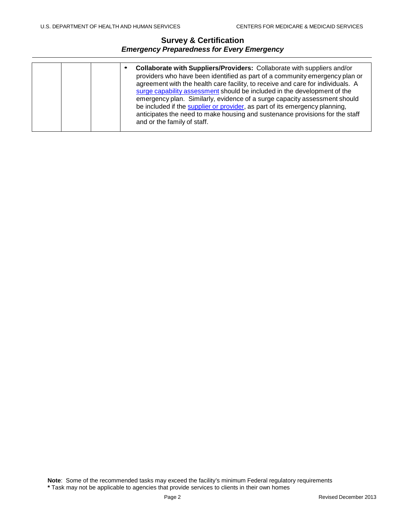|  |  |  | Collaborate with Suppliers/Providers: Collaborate with suppliers and/or<br>providers who have been identified as part of a community emergency plan or<br>agreement with the health care facility, to receive and care for individuals. A<br>surge capability assessment should be included in the development of the<br>emergency plan. Similarly, evidence of a surge capacity assessment should<br>be included if the supplier or provider, as part of its emergency planning,<br>anticipates the need to make housing and sustenance provisions for the staff<br>and or the family of staff. |
|--|--|--|--------------------------------------------------------------------------------------------------------------------------------------------------------------------------------------------------------------------------------------------------------------------------------------------------------------------------------------------------------------------------------------------------------------------------------------------------------------------------------------------------------------------------------------------------------------------------------------------------|
|--|--|--|--------------------------------------------------------------------------------------------------------------------------------------------------------------------------------------------------------------------------------------------------------------------------------------------------------------------------------------------------------------------------------------------------------------------------------------------------------------------------------------------------------------------------------------------------------------------------------------------------|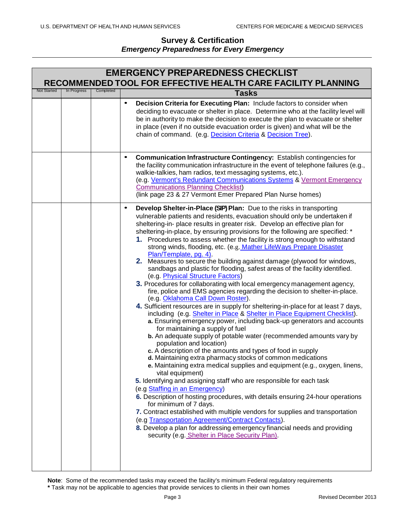|                    | <b>EMERGENCY PREPAREDNESS CHECKLIST</b> |           |                                                                                                                                                                                                                                                                                                                                                                                                                                                                                                                                                                                                                                                                                                                                                                                                                                                                                                                                                                                                                                                                                                                                                                                                                                                                                                                                                                                                                                                                                                                                                                                                                                                                                                                                                                                                                                                                                                                                                                                                                            |  |  |
|--------------------|-----------------------------------------|-----------|----------------------------------------------------------------------------------------------------------------------------------------------------------------------------------------------------------------------------------------------------------------------------------------------------------------------------------------------------------------------------------------------------------------------------------------------------------------------------------------------------------------------------------------------------------------------------------------------------------------------------------------------------------------------------------------------------------------------------------------------------------------------------------------------------------------------------------------------------------------------------------------------------------------------------------------------------------------------------------------------------------------------------------------------------------------------------------------------------------------------------------------------------------------------------------------------------------------------------------------------------------------------------------------------------------------------------------------------------------------------------------------------------------------------------------------------------------------------------------------------------------------------------------------------------------------------------------------------------------------------------------------------------------------------------------------------------------------------------------------------------------------------------------------------------------------------------------------------------------------------------------------------------------------------------------------------------------------------------------------------------------------------------|--|--|
| <b>Not Started</b> | In Progress                             | Completed | <b>RECOMMENDED TOOL FOR EFFECTIVE HEALTH CARE FACILITY PLANNING</b>                                                                                                                                                                                                                                                                                                                                                                                                                                                                                                                                                                                                                                                                                                                                                                                                                                                                                                                                                                                                                                                                                                                                                                                                                                                                                                                                                                                                                                                                                                                                                                                                                                                                                                                                                                                                                                                                                                                                                        |  |  |
|                    |                                         |           | <b>Tasks</b>                                                                                                                                                                                                                                                                                                                                                                                                                                                                                                                                                                                                                                                                                                                                                                                                                                                                                                                                                                                                                                                                                                                                                                                                                                                                                                                                                                                                                                                                                                                                                                                                                                                                                                                                                                                                                                                                                                                                                                                                               |  |  |
|                    |                                         |           | Decision Criteria for Executing Plan: Include factors to consider when<br>$\bullet$<br>deciding to evacuate or shelter in place. Determine who at the facility level will<br>be in authority to make the decision to execute the plan to evacuate or shelter<br>in place (even if no outside evacuation order is given) and what will be the<br>chain of command. (e.g. Decision Criteria & Decision Tree).                                                                                                                                                                                                                                                                                                                                                                                                                                                                                                                                                                                                                                                                                                                                                                                                                                                                                                                                                                                                                                                                                                                                                                                                                                                                                                                                                                                                                                                                                                                                                                                                                |  |  |
|                    |                                         |           | Communication Infrastructure Contingency: Establish contingencies for<br>$\bullet$<br>the facility communication infrastructure in the event of telephone failures (e.g.,<br>walkie-talkies, ham radios, text messaging systems, etc.).<br>(e.g. Vermont's Redundant Communications Systems & Vermont Emergency<br><b>Communications Planning Checklist)</b><br>(link page 23 & 27 Vermont Emer Prepared Plan Nurse homes)                                                                                                                                                                                                                                                                                                                                                                                                                                                                                                                                                                                                                                                                                                                                                                                                                                                                                                                                                                                                                                                                                                                                                                                                                                                                                                                                                                                                                                                                                                                                                                                                 |  |  |
|                    |                                         |           | Develop Shelter-in-Place (SIP) Plan: Due to the risks in transporting<br>$\bullet$<br>vulnerable patients and residents, evacuation should only be undertaken if<br>sheltering-in- place results in greater risk. Develop an effective plan for<br>sheltering-in-place, by ensuring provisions for the following are specified: *<br>1. Procedures to assess whether the facility is strong enough to withstand<br>strong winds, flooding, etc. (e.g. Mather LifeWays Prepare Disaster<br>Plan/Template, pg. 4).<br>2. Measures to secure the building against damage (plywood for windows,<br>sandbags and plastic for flooding, safest areas of the facility identified.<br>(e.g. Physical Structure Factors)<br>3. Procedures for collaborating with local emergency management agency,<br>fire, police and EMS agencies regarding the decision to shelter-in-place.<br>(e.g. Oklahoma Call Down Roster).<br>4. Sufficient resources are in supply for sheltering-in-place for at least 7 days,<br>including (e.g. Shelter in Place & Shelter in Place Equipment Checklist).<br>a. Ensuring emergency power, including back-up generators and accounts<br>for maintaining a supply of fuel<br>b. An adequate supply of potable water (recommended amounts vary by<br>population and location)<br>c. A description of the amounts and types of food in supply<br>d. Maintaining extra pharmacy stocks of common medications<br>e. Maintaining extra medical supplies and equipment (e.g., oxygen, linens,<br>vital equipment)<br>5. Identifying and assigning staff who are responsible for each task<br>(e.g Staffing in an Emergency)<br>6. Description of hosting procedures, with details ensuring 24-hour operations<br>for minimum of 7 days.<br>7. Contract established with multiple vendors for supplies and transportation<br>(e.g Transportation Agreement/Contract Contacts).<br>8. Develop a plan for addressing emergency financial needs and providing<br>security (e.g. Shelter in Place Security Plan). |  |  |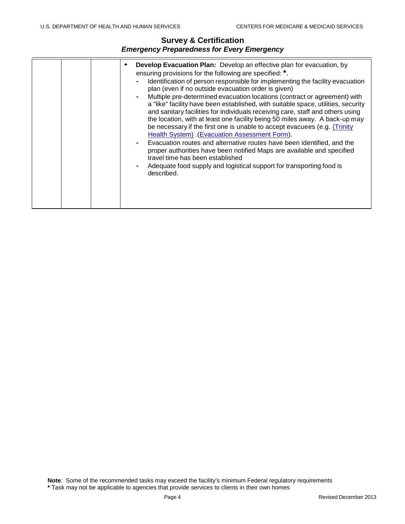| ٠ | Develop Evacuation Plan: Develop an effective plan for evacuation, by<br>ensuring provisions for the following are specified: *.<br>Identification of person responsible for implementing the facility evacuation<br>plan (even if no outside evacuation order is given)<br>Multiple pre-determined evacuation locations (contract or agreement) with<br>a "like" facility have been established, with suitable space, utilities, security<br>and sanitary facilities for individuals receiving care, staff and others using<br>the location, with at least one facility being 50 miles away. A back-up may<br>be necessary if the first one is unable to accept evacuees (e.g. <i>Trinity</i><br>Health System) (Evacuation Assessment Form).<br>Evacuation routes and alternative routes have been identified, and the<br>proper authorities have been notified Maps are available and specified<br>travel time has been established<br>Adequate food supply and logistical support for transporting food is<br>described. |
|---|------------------------------------------------------------------------------------------------------------------------------------------------------------------------------------------------------------------------------------------------------------------------------------------------------------------------------------------------------------------------------------------------------------------------------------------------------------------------------------------------------------------------------------------------------------------------------------------------------------------------------------------------------------------------------------------------------------------------------------------------------------------------------------------------------------------------------------------------------------------------------------------------------------------------------------------------------------------------------------------------------------------------------|
|---|------------------------------------------------------------------------------------------------------------------------------------------------------------------------------------------------------------------------------------------------------------------------------------------------------------------------------------------------------------------------------------------------------------------------------------------------------------------------------------------------------------------------------------------------------------------------------------------------------------------------------------------------------------------------------------------------------------------------------------------------------------------------------------------------------------------------------------------------------------------------------------------------------------------------------------------------------------------------------------------------------------------------------|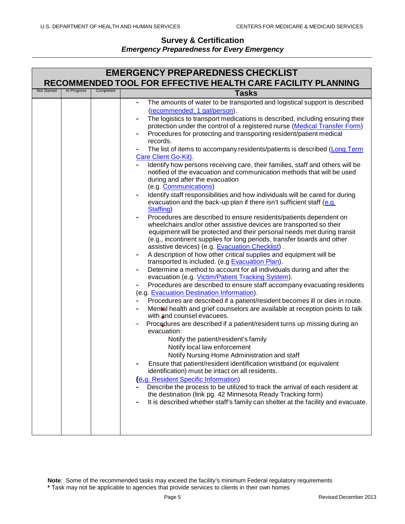# **Survey & Certification**

# *Emergency Preparedness for Every Emergency*

| RECOMMENDED TOOL FOR EFFECTIVE HEALTH CARE FACILITY PLANNING<br><b>Not Started</b><br>In Progress<br>Completed<br><b>Tasks</b><br>The amounts of water to be transported and logistical support is described<br>(recommended: 1 gal/person).<br>The logistics to transport medications is described, including ensuring their<br>protection under the control of a registered nurse (Medical Transfer Form)<br>Procedures for protecting and transporting resident/patient medical<br>records.<br>The list of items to accompany residents/patients is described (Long Term<br>Care Client Go-Kit).<br>Identify how persons receiving care, their families, staff and others will be<br>notified of the evacuation and communication methods that will be used<br>during and after the evacuation<br>(e.g. Communications)<br>Identify staff responsibilities and how individuals will be cared for during<br>evacuation and the back-up plan if there isn't sufficient staff (e.g.<br>Staffing)<br>Procedures are described to ensure residents/patients dependent on<br>wheelchairs and/or other assistive devices are transported so their<br>equipment will be protected and their personal needs met during transit<br>(e.g., incontinent supplies for long periods, transfer boards and other<br>assistive devices) (e.g. Evacuation Checklist).<br>A description of how other critical supplies and equipment will be<br>٠<br>transported is included. (e.g Evacuation Plan).<br>Determine a method to account for all individuals during and after the<br>evacuation (e.g. Victim/Patient Tracking System).<br>Procedures are described to ensure staff accompany evacuating residents<br>(e.g. Evacuation Destination Information).<br>Procedures are described if a patient/resident becomes ill or dies in route.<br>Mental health and grief counselors are available at reception points to talk<br>۰<br>with and counsel evacuees.<br>Procedures are described if a patient/resident turns up missing during an<br>evacuation: |
|---------------------------------------------------------------------------------------------------------------------------------------------------------------------------------------------------------------------------------------------------------------------------------------------------------------------------------------------------------------------------------------------------------------------------------------------------------------------------------------------------------------------------------------------------------------------------------------------------------------------------------------------------------------------------------------------------------------------------------------------------------------------------------------------------------------------------------------------------------------------------------------------------------------------------------------------------------------------------------------------------------------------------------------------------------------------------------------------------------------------------------------------------------------------------------------------------------------------------------------------------------------------------------------------------------------------------------------------------------------------------------------------------------------------------------------------------------------------------------------------------------------------------------------------------------------------------------------------------------------------------------------------------------------------------------------------------------------------------------------------------------------------------------------------------------------------------------------------------------------------------------------------------------------------------------------------------------------------------------------------------------------------------------------------|
|                                                                                                                                                                                                                                                                                                                                                                                                                                                                                                                                                                                                                                                                                                                                                                                                                                                                                                                                                                                                                                                                                                                                                                                                                                                                                                                                                                                                                                                                                                                                                                                                                                                                                                                                                                                                                                                                                                                                                                                                                                             |
|                                                                                                                                                                                                                                                                                                                                                                                                                                                                                                                                                                                                                                                                                                                                                                                                                                                                                                                                                                                                                                                                                                                                                                                                                                                                                                                                                                                                                                                                                                                                                                                                                                                                                                                                                                                                                                                                                                                                                                                                                                             |
| Notify the patient/resident's family<br>Notify local law enforcement<br>Notify Nursing Home Administration and staff<br>Ensure that patient/resident identification wristband (or equivalent<br>identification) must be intact on all residents.<br><b>e.g. Resident Specific Information)</b><br>Describe the process to be utilized to track the arrival of each resident at<br>the destination (link pg. 42 Minnesota Ready Tracking form)<br>It is described whether staff's family can shelter at the facility and evacuate.                                                                                                                                                                                                                                                                                                                                                                                                                                                                                                                                                                                                                                                                                                                                                                                                                                                                                                                                                                                                                                                                                                                                                                                                                                                                                                                                                                                                                                                                                                           |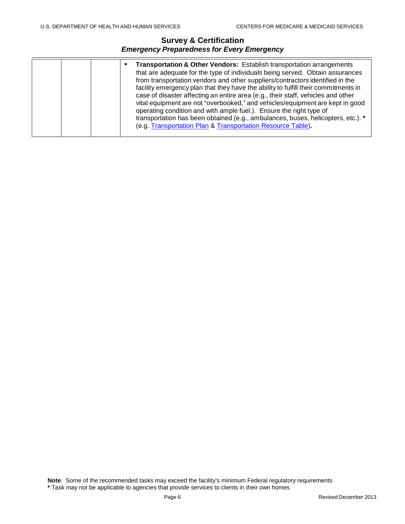|  | Transportation & Other Vendors: Establish transportation arrangements<br>that are adequate for the type of individuals being served. Obtain assurances<br>from transportation vendors and other suppliers/contractors identified in the<br>facility emergency plan that they have the ability to fulfill their commitments in<br>case of disaster affecting an entire area (e.g., their staff, vehicles and other<br>vital equipment are not "overbooked," and vehicles/equipment are kept in good<br>operating condition and with ample fuel.). Ensure the right type of<br>transportation has been obtained (e.g., ambulances, buses, helicopters, etc.). *<br>(e.g. Transportation Plan & Transportation Resource Table). |
|--|------------------------------------------------------------------------------------------------------------------------------------------------------------------------------------------------------------------------------------------------------------------------------------------------------------------------------------------------------------------------------------------------------------------------------------------------------------------------------------------------------------------------------------------------------------------------------------------------------------------------------------------------------------------------------------------------------------------------------|
|--|------------------------------------------------------------------------------------------------------------------------------------------------------------------------------------------------------------------------------------------------------------------------------------------------------------------------------------------------------------------------------------------------------------------------------------------------------------------------------------------------------------------------------------------------------------------------------------------------------------------------------------------------------------------------------------------------------------------------------|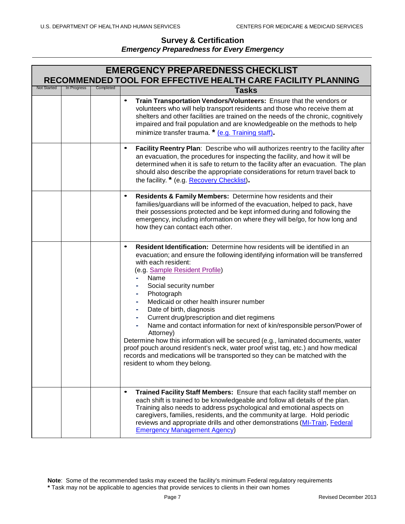|                    | <b>EMERGENCY PREPAREDNESS CHECKLIST</b><br>RECOMMENDED TOOL FOR EFFECTIVE HEALTH CARE FACILITY PLANNING |           |                                                                                                                                                                                                                                                                                                                                                                                                                                                                                                                                                                                                                                                                                                                                                                                                                |  |  |  |
|--------------------|---------------------------------------------------------------------------------------------------------|-----------|----------------------------------------------------------------------------------------------------------------------------------------------------------------------------------------------------------------------------------------------------------------------------------------------------------------------------------------------------------------------------------------------------------------------------------------------------------------------------------------------------------------------------------------------------------------------------------------------------------------------------------------------------------------------------------------------------------------------------------------------------------------------------------------------------------------|--|--|--|
| <b>Not Started</b> | In Progress                                                                                             | Completed | <b>Tasks</b>                                                                                                                                                                                                                                                                                                                                                                                                                                                                                                                                                                                                                                                                                                                                                                                                   |  |  |  |
|                    |                                                                                                         |           | Train Transportation Vendors/Volunteers: Ensure that the vendors or<br>$\bullet$<br>volunteers who will help transport residents and those who receive them at<br>shelters and other facilities are trained on the needs of the chronic, cognitively<br>impaired and frail population and are knowledgeable on the methods to help<br>minimize transfer trauma. * (e.g. Training staff).                                                                                                                                                                                                                                                                                                                                                                                                                       |  |  |  |
|                    |                                                                                                         |           | Facility Reentry Plan: Describe who will authorizes reentry to the facility after<br>$\bullet$<br>an evacuation, the procedures for inspecting the facility, and how it will be<br>determined when it is safe to return to the facility after an evacuation. The plan<br>should also describe the appropriate considerations for return travel back to<br>the facility. * (e.g. Recovery Checklist).                                                                                                                                                                                                                                                                                                                                                                                                           |  |  |  |
|                    |                                                                                                         |           | Residents & Family Members: Determine how residents and their<br>$\bullet$<br>families/guardians will be informed of the evacuation, helped to pack, have<br>their possessions protected and be kept informed during and following the<br>emergency, including information on where they will be/go, for how long and<br>how they can contact each other.                                                                                                                                                                                                                                                                                                                                                                                                                                                      |  |  |  |
|                    |                                                                                                         |           | Resident Identification: Determine how residents will be identified in an<br>$\bullet$<br>evacuation; and ensure the following identifying information will be transferred<br>with each resident:<br>(e.g. Sample Resident Profile)<br>Name<br>Social security number<br>Photograph<br>۰<br>Medicaid or other health insurer number<br>۰<br>Date of birth, diagnosis<br>۰<br>Current drug/prescription and diet regimens<br>۰<br>Name and contact information for next of kin/responsible person/Power of<br>Attorney)<br>Determine how this information will be secured (e.g., laminated documents, water<br>proof pouch around resident's neck, water proof wrist tag, etc.) and how medical<br>records and medications will be transported so they can be matched with the<br>resident to whom they belong. |  |  |  |
|                    |                                                                                                         |           | $\bullet$<br>Trained Facility Staff Members: Ensure that each facility staff member on<br>each shift is trained to be knowledgeable and follow all details of the plan.<br>Training also needs to address psychological and emotional aspects on<br>caregivers, families, residents, and the community at large. Hold periodic<br>reviews and appropriate drills and other demonstrations (MI-Train, Federal<br><b>Emergency Management Agency)</b>                                                                                                                                                                                                                                                                                                                                                            |  |  |  |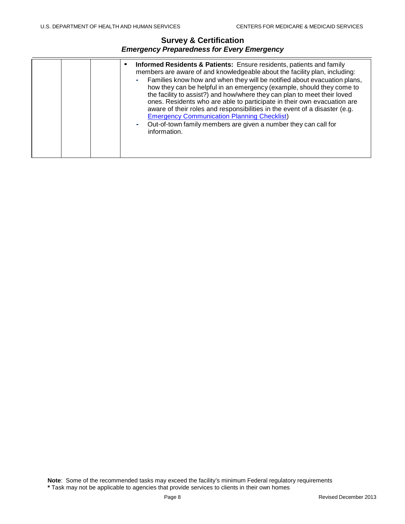|  | <b>Informed Residents &amp; Patients:</b> Ensure residents, patients and family<br>members are aware of and knowledgeable about the facility plan, including:<br>- Families know how and when they will be notified about evacuation plans,<br>how they can be helpful in an emergency (example, should they come to<br>the facility to assist?) and how/where they can plan to meet their loved<br>ones. Residents who are able to participate in their own evacuation are<br>aware of their roles and responsibilities in the event of a disaster (e.g.<br><b>Emergency Communication Planning Checklist)</b><br>Out-of-town family members are given a number they can call for<br>٠<br>information. |
|--|---------------------------------------------------------------------------------------------------------------------------------------------------------------------------------------------------------------------------------------------------------------------------------------------------------------------------------------------------------------------------------------------------------------------------------------------------------------------------------------------------------------------------------------------------------------------------------------------------------------------------------------------------------------------------------------------------------|
|--|---------------------------------------------------------------------------------------------------------------------------------------------------------------------------------------------------------------------------------------------------------------------------------------------------------------------------------------------------------------------------------------------------------------------------------------------------------------------------------------------------------------------------------------------------------------------------------------------------------------------------------------------------------------------------------------------------------|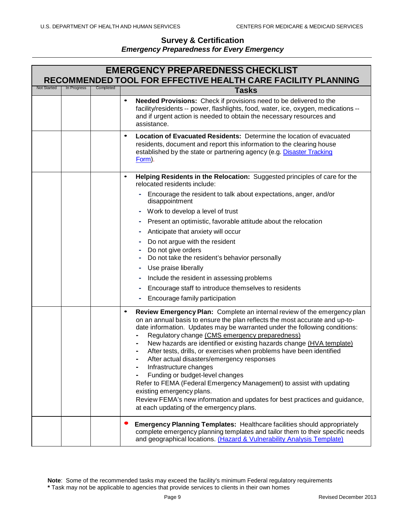| <b>EMERGENCY PREPAREDNESS CHECKLIST</b><br>RECOMMENDED TOOL FOR EFFECTIVE HEALTH CARE FACILITY PLANNING |             |           |                                                                                                                                                                                                                                                                                                                                                                                                                                                                                                                                                                                                                                                                                                                                                                                        |  |
|---------------------------------------------------------------------------------------------------------|-------------|-----------|----------------------------------------------------------------------------------------------------------------------------------------------------------------------------------------------------------------------------------------------------------------------------------------------------------------------------------------------------------------------------------------------------------------------------------------------------------------------------------------------------------------------------------------------------------------------------------------------------------------------------------------------------------------------------------------------------------------------------------------------------------------------------------------|--|
| <b>Not Started</b>                                                                                      | In Progress | Completed | <b>Tasks</b>                                                                                                                                                                                                                                                                                                                                                                                                                                                                                                                                                                                                                                                                                                                                                                           |  |
|                                                                                                         |             |           | Needed Provisions: Check if provisions need to be delivered to the<br>$\bullet$<br>facility/residents -- power, flashlights, food, water, ice, oxygen, medications --<br>and if urgent action is needed to obtain the necessary resources and<br>assistance.                                                                                                                                                                                                                                                                                                                                                                                                                                                                                                                           |  |
|                                                                                                         |             |           | Location of Evacuated Residents: Determine the location of evacuated<br>$\bullet$<br>residents, document and report this information to the clearing house<br>established by the state or partnering agency (e.g. Disaster Tracking<br>Form).                                                                                                                                                                                                                                                                                                                                                                                                                                                                                                                                          |  |
|                                                                                                         |             |           | Helping Residents in the Relocation: Suggested principles of care for the<br>$\bullet$<br>relocated residents include:                                                                                                                                                                                                                                                                                                                                                                                                                                                                                                                                                                                                                                                                 |  |
|                                                                                                         |             |           | Encourage the resident to talk about expectations, anger, and/or<br>disappointment                                                                                                                                                                                                                                                                                                                                                                                                                                                                                                                                                                                                                                                                                                     |  |
|                                                                                                         |             |           | Work to develop a level of trust                                                                                                                                                                                                                                                                                                                                                                                                                                                                                                                                                                                                                                                                                                                                                       |  |
|                                                                                                         |             |           | Present an optimistic, favorable attitude about the relocation                                                                                                                                                                                                                                                                                                                                                                                                                                                                                                                                                                                                                                                                                                                         |  |
|                                                                                                         |             |           | Anticipate that anxiety will occur                                                                                                                                                                                                                                                                                                                                                                                                                                                                                                                                                                                                                                                                                                                                                     |  |
|                                                                                                         |             |           | Do not argue with the resident                                                                                                                                                                                                                                                                                                                                                                                                                                                                                                                                                                                                                                                                                                                                                         |  |
|                                                                                                         |             |           | Do not give orders<br>Do not take the resident's behavior personally                                                                                                                                                                                                                                                                                                                                                                                                                                                                                                                                                                                                                                                                                                                   |  |
|                                                                                                         |             |           | Use praise liberally                                                                                                                                                                                                                                                                                                                                                                                                                                                                                                                                                                                                                                                                                                                                                                   |  |
|                                                                                                         |             |           | Include the resident in assessing problems                                                                                                                                                                                                                                                                                                                                                                                                                                                                                                                                                                                                                                                                                                                                             |  |
|                                                                                                         |             |           | Encourage staff to introduce themselves to residents                                                                                                                                                                                                                                                                                                                                                                                                                                                                                                                                                                                                                                                                                                                                   |  |
|                                                                                                         |             |           | Encourage family participation                                                                                                                                                                                                                                                                                                                                                                                                                                                                                                                                                                                                                                                                                                                                                         |  |
|                                                                                                         |             |           | Review Emergency Plan: Complete an internal review of the emergency plan<br>٠<br>on an annual basis to ensure the plan reflects the most accurate and up-to-<br>date information. Updates may be warranted under the following conditions:<br>Regulatory change (CMS emergency preparedness)<br>New hazards are identified or existing hazards change (HVA template)<br>After tests, drills, or exercises when problems have been identified<br>After actual disasters/emergency responses<br>Infrastructure changes<br>Funding or budget-level changes<br>Refer to FEMA (Federal Emergency Management) to assist with updating<br>existing emergency plans.<br>Review FEMA's new information and updates for best practices and guidance,<br>at each updating of the emergency plans. |  |
|                                                                                                         |             |           | <b>Emergency Planning Templates: Healthcare facilities should appropriately</b><br>complete emergency planning templates and tailor them to their specific needs<br>and geographical locations. (Hazard & Vulnerability Analysis Template)                                                                                                                                                                                                                                                                                                                                                                                                                                                                                                                                             |  |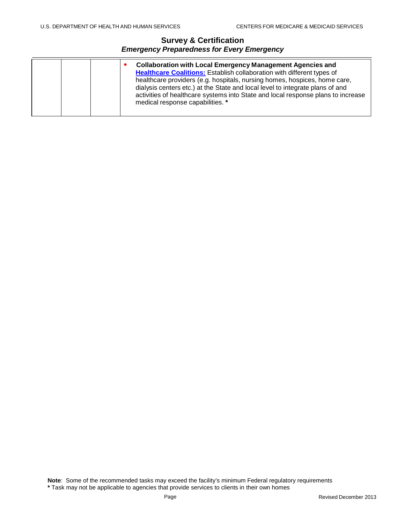|  |  | <b>Collaboration with Local Emergency Management Agencies and</b><br><b>Healthcare Coalitions:</b> Establish collaboration with different types of<br>healthcare providers (e.g. hospitals, nursing homes, hospices, home care,<br>dialysis centers etc.) at the State and local level to integrate plans of and<br>activities of healthcare systems into State and local response plans to increase<br>medical response capabilities. * |
|--|--|------------------------------------------------------------------------------------------------------------------------------------------------------------------------------------------------------------------------------------------------------------------------------------------------------------------------------------------------------------------------------------------------------------------------------------------|
|--|--|------------------------------------------------------------------------------------------------------------------------------------------------------------------------------------------------------------------------------------------------------------------------------------------------------------------------------------------------------------------------------------------------------------------------------------------|